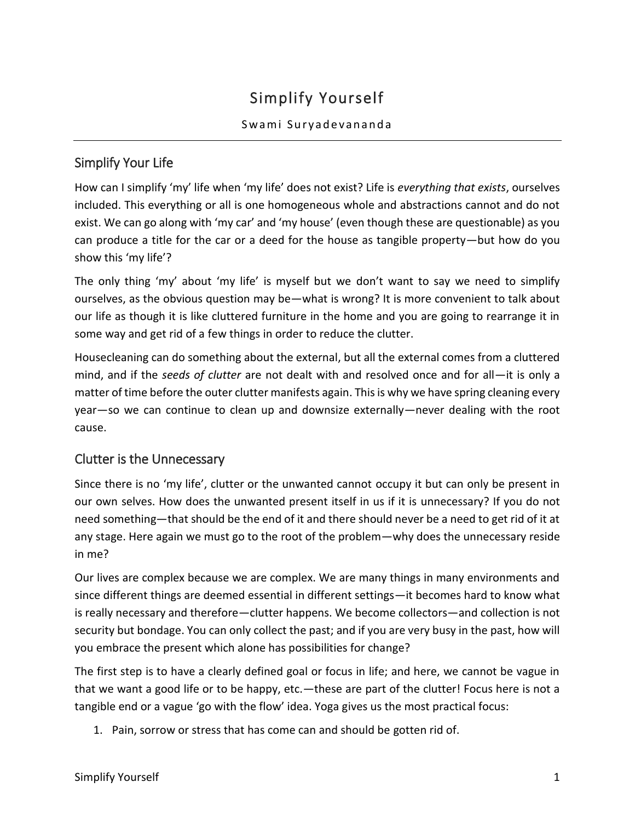# Simplify Yourself

#### Swami Suryadevananda

# Simplify Your Life

How can I simplify 'my' life when 'my life' does not exist? Life is *everything that exists*, ourselves included. This everything or all is one homogeneous whole and abstractions cannot and do not exist. We can go along with 'my car' and 'my house' (even though these are questionable) as you can produce a title for the car or a deed for the house as tangible property—but how do you show this 'my life'?

The only thing 'my' about 'my life' is myself but we don't want to say we need to simplify ourselves, as the obvious question may be—what is wrong? It is more convenient to talk about our life as though it is like cluttered furniture in the home and you are going to rearrange it in some way and get rid of a few things in order to reduce the clutter.

Housecleaning can do something about the external, but all the external comes from a cluttered mind, and if the *seeds of clutter* are not dealt with and resolved once and for all—it is only a matter of time before the outer clutter manifests again. This is why we have spring cleaning every year—so we can continue to clean up and downsize externally—never dealing with the root cause.

## Clutter is the Unnecessary

Since there is no 'my life', clutter or the unwanted cannot occupy it but can only be present in our own selves. How does the unwanted present itself in us if it is unnecessary? If you do not need something—that should be the end of it and there should never be a need to get rid of it at any stage. Here again we must go to the root of the problem—why does the unnecessary reside in me?

Our lives are complex because we are complex. We are many things in many environments and since different things are deemed essential in different settings—it becomes hard to know what is really necessary and therefore—clutter happens. We become collectors—and collection is not security but bondage. You can only collect the past; and if you are very busy in the past, how will you embrace the present which alone has possibilities for change?

The first step is to have a clearly defined goal or focus in life; and here, we cannot be vague in that we want a good life or to be happy, etc.—these are part of the clutter! Focus here is not a tangible end or a vague 'go with the flow' idea. Yoga gives us the most practical focus:

1. Pain, sorrow or stress that has come can and should be gotten rid of.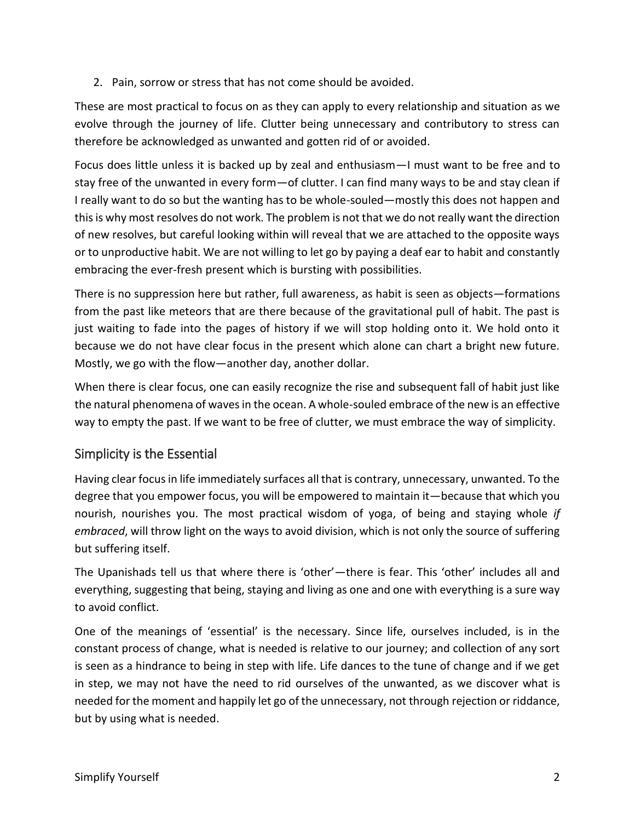2. Pain, sorrow or stress that has not come should be avoided.

These are most practical to focus on as they can apply to every relationship and situation as we evolve through the journey of life. Clutter being unnecessary and contributory to stress can therefore be acknowledged as unwanted and gotten rid of or avoided.

Focus does little unless it is backed up by zeal and enthusiasm—I must want to be free and to stay free of the unwanted in every form—of clutter. I can find many ways to be and stay clean if I really want to do so but the wanting has to be whole-souled—mostly this does not happen and this is why most resolves do not work. The problem is not that we do not really want the direction of new resolves, but careful looking within will reveal that we are attached to the opposite ways or to unproductive habit. We are not willing to let go by paying a deaf ear to habit and constantly embracing the ever-fresh present which is bursting with possibilities.

There is no suppression here but rather, full awareness, as habit is seen as objects—formations from the past like meteors that are there because of the gravitational pull of habit. The past is just waiting to fade into the pages of history if we will stop holding onto it. We hold onto it because we do not have clear focus in the present which alone can chart a bright new future. Mostly, we go with the flow—another day, another dollar.

When there is clear focus, one can easily recognize the rise and subsequent fall of habit just like the natural phenomena of waves in the ocean. A whole-souled embrace of the new is an effective way to empty the past. If we want to be free of clutter, we must embrace the way of simplicity.

## Simplicity is the Essential

Having clear focus in life immediately surfaces all that is contrary, unnecessary, unwanted. To the degree that you empower focus, you will be empowered to maintain it—because that which you nourish, nourishes you. The most practical wisdom of yoga, of being and staying whole *if embraced*, will throw light on the ways to avoid division, which is not only the source of suffering but suffering itself.

The Upanishads tell us that where there is 'other'—there is fear. This 'other' includes all and everything, suggesting that being, staying and living as one and one with everything is a sure way to avoid conflict.

One of the meanings of 'essential' is the necessary. Since life, ourselves included, is in the constant process of change, what is needed is relative to our journey; and collection of any sort is seen as a hindrance to being in step with life. Life dances to the tune of change and if we get in step, we may not have the need to rid ourselves of the unwanted, as we discover what is needed for the moment and happily let go of the unnecessary, not through rejection or riddance, but by using what is needed.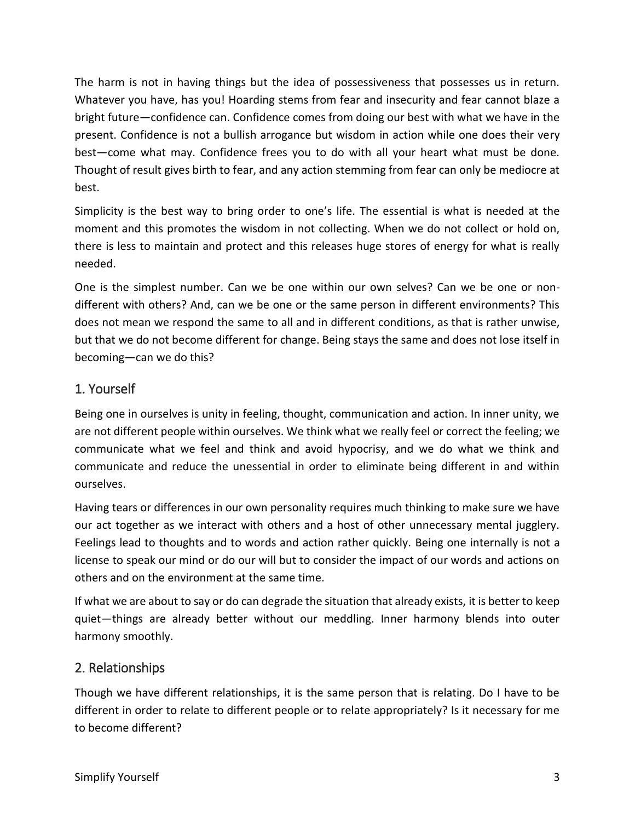The harm is not in having things but the idea of possessiveness that possesses us in return. Whatever you have, has you! Hoarding stems from fear and insecurity and fear cannot blaze a bright future—confidence can. Confidence comes from doing our best with what we have in the present. Confidence is not a bullish arrogance but wisdom in action while one does their very best—come what may. Confidence frees you to do with all your heart what must be done. Thought of result gives birth to fear, and any action stemming from fear can only be mediocre at best.

Simplicity is the best way to bring order to one's life. The essential is what is needed at the moment and this promotes the wisdom in not collecting. When we do not collect or hold on, there is less to maintain and protect and this releases huge stores of energy for what is really needed.

One is the simplest number. Can we be one within our own selves? Can we be one or nondifferent with others? And, can we be one or the same person in different environments? This does not mean we respond the same to all and in different conditions, as that is rather unwise, but that we do not become different for change. Being stays the same and does not lose itself in becoming—can we do this?

#### 1. Yourself

Being one in ourselves is unity in feeling, thought, communication and action. In inner unity, we are not different people within ourselves. We think what we really feel or correct the feeling; we communicate what we feel and think and avoid hypocrisy, and we do what we think and communicate and reduce the unessential in order to eliminate being different in and within ourselves.

Having tears or differences in our own personality requires much thinking to make sure we have our act together as we interact with others and a host of other unnecessary mental jugglery. Feelings lead to thoughts and to words and action rather quickly. Being one internally is not a license to speak our mind or do our will but to consider the impact of our words and actions on others and on the environment at the same time.

If what we are about to say or do can degrade the situation that already exists, it is better to keep quiet—things are already better without our meddling. Inner harmony blends into outer harmony smoothly.

#### 2. Relationships

Though we have different relationships, it is the same person that is relating. Do I have to be different in order to relate to different people or to relate appropriately? Is it necessary for me to become different?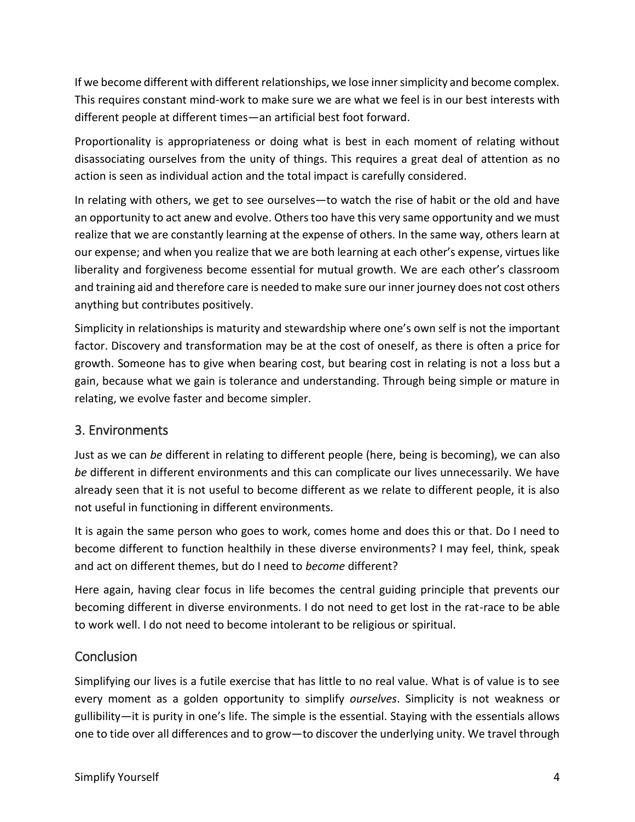If we become different with different relationships, we lose inner simplicity and become complex. This requires constant mind-work to make sure we are what we feel is in our best interests with different people at different times—an artificial best foot forward.

Proportionality is appropriateness or doing what is best in each moment of relating without disassociating ourselves from the unity of things. This requires a great deal of attention as no action is seen as individual action and the total impact is carefully considered.

In relating with others, we get to see ourselves—to watch the rise of habit or the old and have an opportunity to act anew and evolve. Others too have this very same opportunity and we must realize that we are constantly learning at the expense of others. In the same way, others learn at our expense; and when you realize that we are both learning at each other's expense, virtues like liberality and forgiveness become essential for mutual growth. We are each other's classroom and training aid and therefore care is needed to make sure our inner journey does not cost others anything but contributes positively.

Simplicity in relationships is maturity and stewardship where one's own self is not the important factor. Discovery and transformation may be at the cost of oneself, as there is often a price for growth. Someone has to give when bearing cost, but bearing cost in relating is not a loss but a gain, because what we gain is tolerance and understanding. Through being simple or mature in relating, we evolve faster and become simpler.

## 3. Environments

Just as we can *be* different in relating to different people (here, being is becoming), we can also *be* different in different environments and this can complicate our lives unnecessarily. We have already seen that it is not useful to become different as we relate to different people, it is also not useful in functioning in different environments.

It is again the same person who goes to work, comes home and does this or that. Do I need to become different to function healthily in these diverse environments? I may feel, think, speak and act on different themes, but do I need to *become* different?

Here again, having clear focus in life becomes the central guiding principle that prevents our becoming different in diverse environments. I do not need to get lost in the rat-race to be able to work well. I do not need to become intolerant to be religious or spiritual.

#### **Conclusion**

Simplifying our lives is a futile exercise that has little to no real value. What is of value is to see every moment as a golden opportunity to simplify *ourselves*. Simplicity is not weakness or gullibility—it is purity in one's life. The simple is the essential. Staying with the essentials allows one to tide over all differences and to grow—to discover the underlying unity. We travel through